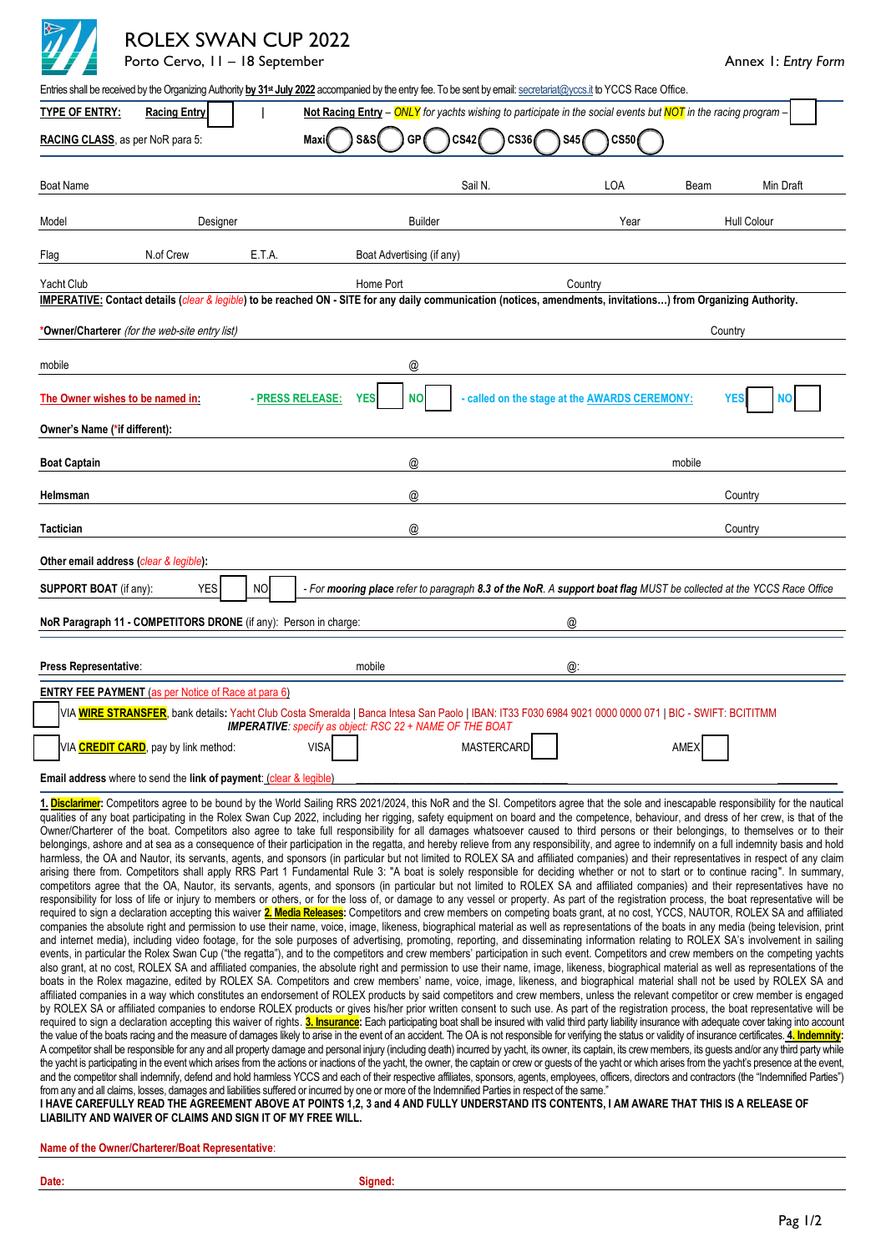ROLEX SWAN CUP 2022

Porto Cervo,  $11 - 18$  September Annex 1: *Entry Form* 

|                                                                                                                                                                                                                                         |                                                                           |           |                  |                           |                   | Entries shall be received by the Organizing Authority by 31 <sup>st</sup> July 2022 accompanied by the entry fee. To be sent by email: secretariat@yccs.it to YCCS Race Office. |        |                                                                                                                                                                                                                                                                                                                                                                                                                                                                                                                                                                                                                                                                                                                                                                                                                                                                                                                                                                                                                                                                                                                                                                                                                                                                                                                                                                                                                                                                                                                                                                                                                                                                                                                                                                                                                                                                                                                                                                                                                                                                                                                                                                                                                                                                                                                                                                                                                                                                                                                                                                                                                                                                                                                                                                                                                                                                                                                                                                                                                                                                                                                                                                                                                                                                                                                                                                                                                                                                                               |
|-----------------------------------------------------------------------------------------------------------------------------------------------------------------------------------------------------------------------------------------|---------------------------------------------------------------------------|-----------|------------------|---------------------------|-------------------|---------------------------------------------------------------------------------------------------------------------------------------------------------------------------------|--------|-----------------------------------------------------------------------------------------------------------------------------------------------------------------------------------------------------------------------------------------------------------------------------------------------------------------------------------------------------------------------------------------------------------------------------------------------------------------------------------------------------------------------------------------------------------------------------------------------------------------------------------------------------------------------------------------------------------------------------------------------------------------------------------------------------------------------------------------------------------------------------------------------------------------------------------------------------------------------------------------------------------------------------------------------------------------------------------------------------------------------------------------------------------------------------------------------------------------------------------------------------------------------------------------------------------------------------------------------------------------------------------------------------------------------------------------------------------------------------------------------------------------------------------------------------------------------------------------------------------------------------------------------------------------------------------------------------------------------------------------------------------------------------------------------------------------------------------------------------------------------------------------------------------------------------------------------------------------------------------------------------------------------------------------------------------------------------------------------------------------------------------------------------------------------------------------------------------------------------------------------------------------------------------------------------------------------------------------------------------------------------------------------------------------------------------------------------------------------------------------------------------------------------------------------------------------------------------------------------------------------------------------------------------------------------------------------------------------------------------------------------------------------------------------------------------------------------------------------------------------------------------------------------------------------------------------------------------------------------------------------------------------------------------------------------------------------------------------------------------------------------------------------------------------------------------------------------------------------------------------------------------------------------------------------------------------------------------------------------------------------------------------------------------------------------------------------------------------------------------------------|
| TYPE OF ENTRY:                                                                                                                                                                                                                          | <b>Racing Entry</b>                                                       |           |                  |                           |                   | Not Racing Entry - ONLY for yachts wishing to participate in the social events but NOT in the racing program                                                                    |        |                                                                                                                                                                                                                                                                                                                                                                                                                                                                                                                                                                                                                                                                                                                                                                                                                                                                                                                                                                                                                                                                                                                                                                                                                                                                                                                                                                                                                                                                                                                                                                                                                                                                                                                                                                                                                                                                                                                                                                                                                                                                                                                                                                                                                                                                                                                                                                                                                                                                                                                                                                                                                                                                                                                                                                                                                                                                                                                                                                                                                                                                                                                                                                                                                                                                                                                                                                                                                                                                                               |
| CS42<br>CS36/<br>RACING CLASS, as per NoR para 5:<br><b>S&amp;S</b><br>GP<br><b>S45</b><br><b>CS50</b><br>Maxi                                                                                                                          |                                                                           |           |                  |                           |                   |                                                                                                                                                                                 |        |                                                                                                                                                                                                                                                                                                                                                                                                                                                                                                                                                                                                                                                                                                                                                                                                                                                                                                                                                                                                                                                                                                                                                                                                                                                                                                                                                                                                                                                                                                                                                                                                                                                                                                                                                                                                                                                                                                                                                                                                                                                                                                                                                                                                                                                                                                                                                                                                                                                                                                                                                                                                                                                                                                                                                                                                                                                                                                                                                                                                                                                                                                                                                                                                                                                                                                                                                                                                                                                                                               |
|                                                                                                                                                                                                                                         |                                                                           |           |                  |                           |                   |                                                                                                                                                                                 |        |                                                                                                                                                                                                                                                                                                                                                                                                                                                                                                                                                                                                                                                                                                                                                                                                                                                                                                                                                                                                                                                                                                                                                                                                                                                                                                                                                                                                                                                                                                                                                                                                                                                                                                                                                                                                                                                                                                                                                                                                                                                                                                                                                                                                                                                                                                                                                                                                                                                                                                                                                                                                                                                                                                                                                                                                                                                                                                                                                                                                                                                                                                                                                                                                                                                                                                                                                                                                                                                                                               |
| <b>Boat Name</b>                                                                                                                                                                                                                        |                                                                           |           |                  |                           | Sail N.           | LOA                                                                                                                                                                             | Beam   | Min Draft                                                                                                                                                                                                                                                                                                                                                                                                                                                                                                                                                                                                                                                                                                                                                                                                                                                                                                                                                                                                                                                                                                                                                                                                                                                                                                                                                                                                                                                                                                                                                                                                                                                                                                                                                                                                                                                                                                                                                                                                                                                                                                                                                                                                                                                                                                                                                                                                                                                                                                                                                                                                                                                                                                                                                                                                                                                                                                                                                                                                                                                                                                                                                                                                                                                                                                                                                                                                                                                                                     |
| Model                                                                                                                                                                                                                                   | Designer                                                                  |           |                  | <b>Builder</b>            |                   | Year                                                                                                                                                                            |        | Hull Colour                                                                                                                                                                                                                                                                                                                                                                                                                                                                                                                                                                                                                                                                                                                                                                                                                                                                                                                                                                                                                                                                                                                                                                                                                                                                                                                                                                                                                                                                                                                                                                                                                                                                                                                                                                                                                                                                                                                                                                                                                                                                                                                                                                                                                                                                                                                                                                                                                                                                                                                                                                                                                                                                                                                                                                                                                                                                                                                                                                                                                                                                                                                                                                                                                                                                                                                                                                                                                                                                                   |
| Flag                                                                                                                                                                                                                                    | N.of Crew                                                                 | E.T.A.    |                  | Boat Advertising (if any) |                   |                                                                                                                                                                                 |        |                                                                                                                                                                                                                                                                                                                                                                                                                                                                                                                                                                                                                                                                                                                                                                                                                                                                                                                                                                                                                                                                                                                                                                                                                                                                                                                                                                                                                                                                                                                                                                                                                                                                                                                                                                                                                                                                                                                                                                                                                                                                                                                                                                                                                                                                                                                                                                                                                                                                                                                                                                                                                                                                                                                                                                                                                                                                                                                                                                                                                                                                                                                                                                                                                                                                                                                                                                                                                                                                                               |
| Yacht Club                                                                                                                                                                                                                              |                                                                           |           |                  | Home Port                 |                   | Country                                                                                                                                                                         |        |                                                                                                                                                                                                                                                                                                                                                                                                                                                                                                                                                                                                                                                                                                                                                                                                                                                                                                                                                                                                                                                                                                                                                                                                                                                                                                                                                                                                                                                                                                                                                                                                                                                                                                                                                                                                                                                                                                                                                                                                                                                                                                                                                                                                                                                                                                                                                                                                                                                                                                                                                                                                                                                                                                                                                                                                                                                                                                                                                                                                                                                                                                                                                                                                                                                                                                                                                                                                                                                                                               |
|                                                                                                                                                                                                                                         |                                                                           |           |                  |                           |                   | IMPERATIVE: Contact details (clear & legible) to be reached ON - SITE for any daily communication (notices, amendments, invitations) from Organizing Authority.                 |        |                                                                                                                                                                                                                                                                                                                                                                                                                                                                                                                                                                                                                                                                                                                                                                                                                                                                                                                                                                                                                                                                                                                                                                                                                                                                                                                                                                                                                                                                                                                                                                                                                                                                                                                                                                                                                                                                                                                                                                                                                                                                                                                                                                                                                                                                                                                                                                                                                                                                                                                                                                                                                                                                                                                                                                                                                                                                                                                                                                                                                                                                                                                                                                                                                                                                                                                                                                                                                                                                                               |
|                                                                                                                                                                                                                                         | *Owner/Charterer (for the web-site entry list)                            |           |                  |                           |                   |                                                                                                                                                                                 |        | Country                                                                                                                                                                                                                                                                                                                                                                                                                                                                                                                                                                                                                                                                                                                                                                                                                                                                                                                                                                                                                                                                                                                                                                                                                                                                                                                                                                                                                                                                                                                                                                                                                                                                                                                                                                                                                                                                                                                                                                                                                                                                                                                                                                                                                                                                                                                                                                                                                                                                                                                                                                                                                                                                                                                                                                                                                                                                                                                                                                                                                                                                                                                                                                                                                                                                                                                                                                                                                                                                                       |
| mobile                                                                                                                                                                                                                                  |                                                                           |           |                  | @                         |                   |                                                                                                                                                                                 |        |                                                                                                                                                                                                                                                                                                                                                                                                                                                                                                                                                                                                                                                                                                                                                                                                                                                                                                                                                                                                                                                                                                                                                                                                                                                                                                                                                                                                                                                                                                                                                                                                                                                                                                                                                                                                                                                                                                                                                                                                                                                                                                                                                                                                                                                                                                                                                                                                                                                                                                                                                                                                                                                                                                                                                                                                                                                                                                                                                                                                                                                                                                                                                                                                                                                                                                                                                                                                                                                                                               |
| The Owner wishes to be named in:                                                                                                                                                                                                        |                                                                           |           | - PRESS RELEASE: | <b>NO</b><br><b>YES</b>   |                   | - called on the stage at the AWARDS CEREMONY:                                                                                                                                   |        | YES                                                                                                                                                                                                                                                                                                                                                                                                                                                                                                                                                                                                                                                                                                                                                                                                                                                                                                                                                                                                                                                                                                                                                                                                                                                                                                                                                                                                                                                                                                                                                                                                                                                                                                                                                                                                                                                                                                                                                                                                                                                                                                                                                                                                                                                                                                                                                                                                                                                                                                                                                                                                                                                                                                                                                                                                                                                                                                                                                                                                                                                                                                                                                                                                                                                                                                                                                                                                                                                                                           |
| Owner's Name (*if different):                                                                                                                                                                                                           |                                                                           |           |                  |                           |                   |                                                                                                                                                                                 |        |                                                                                                                                                                                                                                                                                                                                                                                                                                                                                                                                                                                                                                                                                                                                                                                                                                                                                                                                                                                                                                                                                                                                                                                                                                                                                                                                                                                                                                                                                                                                                                                                                                                                                                                                                                                                                                                                                                                                                                                                                                                                                                                                                                                                                                                                                                                                                                                                                                                                                                                                                                                                                                                                                                                                                                                                                                                                                                                                                                                                                                                                                                                                                                                                                                                                                                                                                                                                                                                                                               |
| <b>Boat Captain</b>                                                                                                                                                                                                                     |                                                                           |           |                  | @                         |                   |                                                                                                                                                                                 | mobile |                                                                                                                                                                                                                                                                                                                                                                                                                                                                                                                                                                                                                                                                                                                                                                                                                                                                                                                                                                                                                                                                                                                                                                                                                                                                                                                                                                                                                                                                                                                                                                                                                                                                                                                                                                                                                                                                                                                                                                                                                                                                                                                                                                                                                                                                                                                                                                                                                                                                                                                                                                                                                                                                                                                                                                                                                                                                                                                                                                                                                                                                                                                                                                                                                                                                                                                                                                                                                                                                                               |
| Helmsman                                                                                                                                                                                                                                |                                                                           |           |                  | @                         |                   |                                                                                                                                                                                 |        | Country                                                                                                                                                                                                                                                                                                                                                                                                                                                                                                                                                                                                                                                                                                                                                                                                                                                                                                                                                                                                                                                                                                                                                                                                                                                                                                                                                                                                                                                                                                                                                                                                                                                                                                                                                                                                                                                                                                                                                                                                                                                                                                                                                                                                                                                                                                                                                                                                                                                                                                                                                                                                                                                                                                                                                                                                                                                                                                                                                                                                                                                                                                                                                                                                                                                                                                                                                                                                                                                                                       |
| Tactician                                                                                                                                                                                                                               |                                                                           |           |                  | @                         |                   |                                                                                                                                                                                 |        | Country                                                                                                                                                                                                                                                                                                                                                                                                                                                                                                                                                                                                                                                                                                                                                                                                                                                                                                                                                                                                                                                                                                                                                                                                                                                                                                                                                                                                                                                                                                                                                                                                                                                                                                                                                                                                                                                                                                                                                                                                                                                                                                                                                                                                                                                                                                                                                                                                                                                                                                                                                                                                                                                                                                                                                                                                                                                                                                                                                                                                                                                                                                                                                                                                                                                                                                                                                                                                                                                                                       |
| Other email address (clear & legible):                                                                                                                                                                                                  |                                                                           |           |                  |                           |                   |                                                                                                                                                                                 |        |                                                                                                                                                                                                                                                                                                                                                                                                                                                                                                                                                                                                                                                                                                                                                                                                                                                                                                                                                                                                                                                                                                                                                                                                                                                                                                                                                                                                                                                                                                                                                                                                                                                                                                                                                                                                                                                                                                                                                                                                                                                                                                                                                                                                                                                                                                                                                                                                                                                                                                                                                                                                                                                                                                                                                                                                                                                                                                                                                                                                                                                                                                                                                                                                                                                                                                                                                                                                                                                                                               |
| <b>SUPPORT BOAT</b> (if any):                                                                                                                                                                                                           | <b>YES</b>                                                                | <b>NO</b> |                  |                           |                   |                                                                                                                                                                                 |        | - For mooring place refer to paragraph 8.3 of the NoR. A support boat flag MUST be collected at the YCCS Race Office                                                                                                                                                                                                                                                                                                                                                                                                                                                                                                                                                                                                                                                                                                                                                                                                                                                                                                                                                                                                                                                                                                                                                                                                                                                                                                                                                                                                                                                                                                                                                                                                                                                                                                                                                                                                                                                                                                                                                                                                                                                                                                                                                                                                                                                                                                                                                                                                                                                                                                                                                                                                                                                                                                                                                                                                                                                                                                                                                                                                                                                                                                                                                                                                                                                                                                                                                                          |
|                                                                                                                                                                                                                                         | NoR Paragraph 11 - COMPETITORS DRONE (if any): Person in charge:          |           |                  |                           |                   | $^{(a)}$                                                                                                                                                                        |        |                                                                                                                                                                                                                                                                                                                                                                                                                                                                                                                                                                                                                                                                                                                                                                                                                                                                                                                                                                                                                                                                                                                                                                                                                                                                                                                                                                                                                                                                                                                                                                                                                                                                                                                                                                                                                                                                                                                                                                                                                                                                                                                                                                                                                                                                                                                                                                                                                                                                                                                                                                                                                                                                                                                                                                                                                                                                                                                                                                                                                                                                                                                                                                                                                                                                                                                                                                                                                                                                                               |
|                                                                                                                                                                                                                                         |                                                                           |           |                  |                           |                   |                                                                                                                                                                                 |        |                                                                                                                                                                                                                                                                                                                                                                                                                                                                                                                                                                                                                                                                                                                                                                                                                                                                                                                                                                                                                                                                                                                                                                                                                                                                                                                                                                                                                                                                                                                                                                                                                                                                                                                                                                                                                                                                                                                                                                                                                                                                                                                                                                                                                                                                                                                                                                                                                                                                                                                                                                                                                                                                                                                                                                                                                                                                                                                                                                                                                                                                                                                                                                                                                                                                                                                                                                                                                                                                                               |
| Press Representative:                                                                                                                                                                                                                   |                                                                           |           |                  | mobile                    |                   | @:                                                                                                                                                                              |        |                                                                                                                                                                                                                                                                                                                                                                                                                                                                                                                                                                                                                                                                                                                                                                                                                                                                                                                                                                                                                                                                                                                                                                                                                                                                                                                                                                                                                                                                                                                                                                                                                                                                                                                                                                                                                                                                                                                                                                                                                                                                                                                                                                                                                                                                                                                                                                                                                                                                                                                                                                                                                                                                                                                                                                                                                                                                                                                                                                                                                                                                                                                                                                                                                                                                                                                                                                                                                                                                                               |
|                                                                                                                                                                                                                                         | <b>ENTRY FEE PAYMENT</b> (as per Notice of Race at para 6)                |           |                  |                           |                   |                                                                                                                                                                                 |        |                                                                                                                                                                                                                                                                                                                                                                                                                                                                                                                                                                                                                                                                                                                                                                                                                                                                                                                                                                                                                                                                                                                                                                                                                                                                                                                                                                                                                                                                                                                                                                                                                                                                                                                                                                                                                                                                                                                                                                                                                                                                                                                                                                                                                                                                                                                                                                                                                                                                                                                                                                                                                                                                                                                                                                                                                                                                                                                                                                                                                                                                                                                                                                                                                                                                                                                                                                                                                                                                                               |
| VIA <mark>WIRE STRANSFER</mark> , bank details: Yacht Club Costa Smeralda   Banca Intesa San Paolo   IBAN: IT33 F030 6984 9021 0000 0000 071   BIC - SWIFT: BCITITMM<br><b>IMPERATIVE:</b> specify as object: RSC 22 + NAME OF THE BOAT |                                                                           |           |                  |                           |                   |                                                                                                                                                                                 |        |                                                                                                                                                                                                                                                                                                                                                                                                                                                                                                                                                                                                                                                                                                                                                                                                                                                                                                                                                                                                                                                                                                                                                                                                                                                                                                                                                                                                                                                                                                                                                                                                                                                                                                                                                                                                                                                                                                                                                                                                                                                                                                                                                                                                                                                                                                                                                                                                                                                                                                                                                                                                                                                                                                                                                                                                                                                                                                                                                                                                                                                                                                                                                                                                                                                                                                                                                                                                                                                                                               |
|                                                                                                                                                                                                                                         | VIA <b>CREDIT CARD</b> , pay by link method:                              |           | <b>VISA</b>      |                           | <b>MASTERCARD</b> |                                                                                                                                                                                 | AMEX   |                                                                                                                                                                                                                                                                                                                                                                                                                                                                                                                                                                                                                                                                                                                                                                                                                                                                                                                                                                                                                                                                                                                                                                                                                                                                                                                                                                                                                                                                                                                                                                                                                                                                                                                                                                                                                                                                                                                                                                                                                                                                                                                                                                                                                                                                                                                                                                                                                                                                                                                                                                                                                                                                                                                                                                                                                                                                                                                                                                                                                                                                                                                                                                                                                                                                                                                                                                                                                                                                                               |
|                                                                                                                                                                                                                                         | <b>Email address</b> where to send the link of payment: (clear & legible) |           |                  |                           |                   |                                                                                                                                                                                 |        |                                                                                                                                                                                                                                                                                                                                                                                                                                                                                                                                                                                                                                                                                                                                                                                                                                                                                                                                                                                                                                                                                                                                                                                                                                                                                                                                                                                                                                                                                                                                                                                                                                                                                                                                                                                                                                                                                                                                                                                                                                                                                                                                                                                                                                                                                                                                                                                                                                                                                                                                                                                                                                                                                                                                                                                                                                                                                                                                                                                                                                                                                                                                                                                                                                                                                                                                                                                                                                                                                               |
|                                                                                                                                                                                                                                         |                                                                           |           |                  |                           |                   |                                                                                                                                                                                 |        | 1. Disclarimer: Competitors agree to be bound by the World Sailing RRS 2021/2024, this NoR and the SI. Competitors agree that the sole and inescapable responsibility for the nautical<br>qualities of any boat participating in the Rolex Swan Cup 2022, including her rigging, safety equipment on board and the competence, behaviour, and dress of her crew, is that of the<br>Owner/Charterer of the boat. Competitors also agree to take full responsibility for all damages whatsoever caused to third persons or their belongings, to themselves or to their<br>belongings, ashore and at sea as a consequence of their participation in the regatta, and hereby relieve from any responsibility, and agree to indemnify on a full indemnity basis and hold<br>harmless, the OA and Nautor, its servants, agents, and sponsors (in particular but not limited to ROLEX SA and affiliated companies) and their representatives in respect of any claim<br>arising there from. Competitors shall apply RRS Part 1 Fundamental Rule 3: "A boat is solely responsible for deciding whether or not to start or to continue racing". In summary,<br>competitors agree that the OA, Nautor, its servants, agents, and sponsors (in particular but not limited to ROLEX SA and affiliated companies) and their representatives have no<br>responsibility for loss of life or injury to members or others, or for the loss of, or damage to any vessel or property. As part of the registration process, the boat representative will be<br>required to sign a declaration accepting this waiver 2. Media Releases: Competitors and crew members on competing boats grant, at no cost, YCCS, NAUTOR, ROLEX SA and affiliated<br>companies the absolute right and permission to use their name, voice, image, likeness, biographical material as well as representations of the boats in any media (being television, print<br>and internet media), including video footage, for the sole purposes of advertising, promoting, reporting, and disseminating information relating to ROLEX SA's involvement in sailing<br>events, in particular the Rolex Swan Cup ("the regatta"), and to the competitors and crew members' participation in such event. Competitors and crew members on the competing yachts<br>also grant, at no cost, ROLEX SA and affiliated companies, the absolute right and permission to use their name, image, likeness, biographical material as well as representations of the<br>boats in the Rolex magazine, edited by ROLEX SA. Competitors and crew members' name, voice, image, likeness, and biographical material shall not be used by ROLEX SA and<br>affiliated companies in a way which constitutes an endorsement of ROLEX products by said competitors and crew members, unless the relevant competitor or crew member is engaged<br>by ROLEX SA or affiliated companies to endorse ROLEX products or gives his/her prior written consent to such use. As part of the registration process, the boat representative will be<br>required to sign a declaration accepting this waiver of rights. 3. Insurance: Each participating boat shall be insured with valid third party liability insurance with adequate cover taking into account<br>the value of the boats racing and the measure of damages likely to arise in the event of an accident. The OA is not responsible for verifying the status or validity of insurance certificates. 4. Indemnity: |

A competitor shall be responsible for any and all property damage and personal injury (including death) incurred by yacht, its owner, its captain, its crew members, its guests and/or any third party while the yacht is participating in the event which arises from the actions or inactions of the yacht, the owner, the captain or crew or guests of the yacht or which arises from the yacht's presence at the event, and the competitor shall indemnify, defend and hold harmless YCCS and each of their respective affiliates, sponsors, agents, employees, officers, directors and contractors (the "Indemnified Parties") from any and all claims, losses, damages and liabilities suffered or incurred by one or more of the Indemnified Parties in respect of the same."

**I HAVE CAREFULLY READ THE AGREEMENT ABOVE AT POINTS 1,2, 3 and 4 AND FULLY UNDERSTAND ITS CONTENTS, I AM AWARE THAT THIS IS A RELEASE OF LIABILITY AND WAIVER OF CLAIMS AND SIGN IT OF MY FREE WILL.**

**Name of the Owner/Charterer/Boat Representative**: